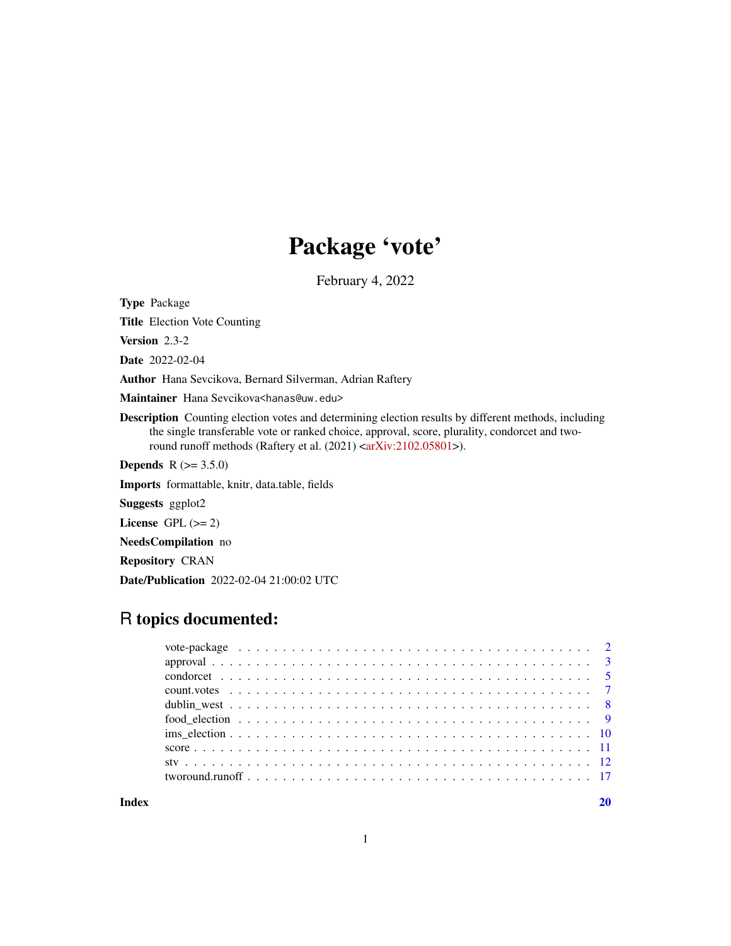# Package 'vote'

February 4, 2022

Type Package

Title Election Vote Counting

Version 2.3-2

Date 2022-02-04

Author Hana Sevcikova, Bernard Silverman, Adrian Raftery

Maintainer Hana Sevcikova<hanas@uw.edu>

Description Counting election votes and determining election results by different methods, including the single transferable vote or ranked choice, approval, score, plurality, condorcet and two-round runoff methods (Raftery et al. (2021) [<arXiv:2102.05801>](https://arxiv.org/abs/2102.05801)).

**Depends** R  $(>= 3.5.0)$ 

Imports formattable, knitr, data.table, fields

Suggests ggplot2

License GPL  $(>= 2)$ 

NeedsCompilation no

Repository CRAN

Date/Publication 2022-02-04 21:00:02 UTC

# R topics documented:

 $\bf 1$ ndex  $\bf 20$  $\bf 20$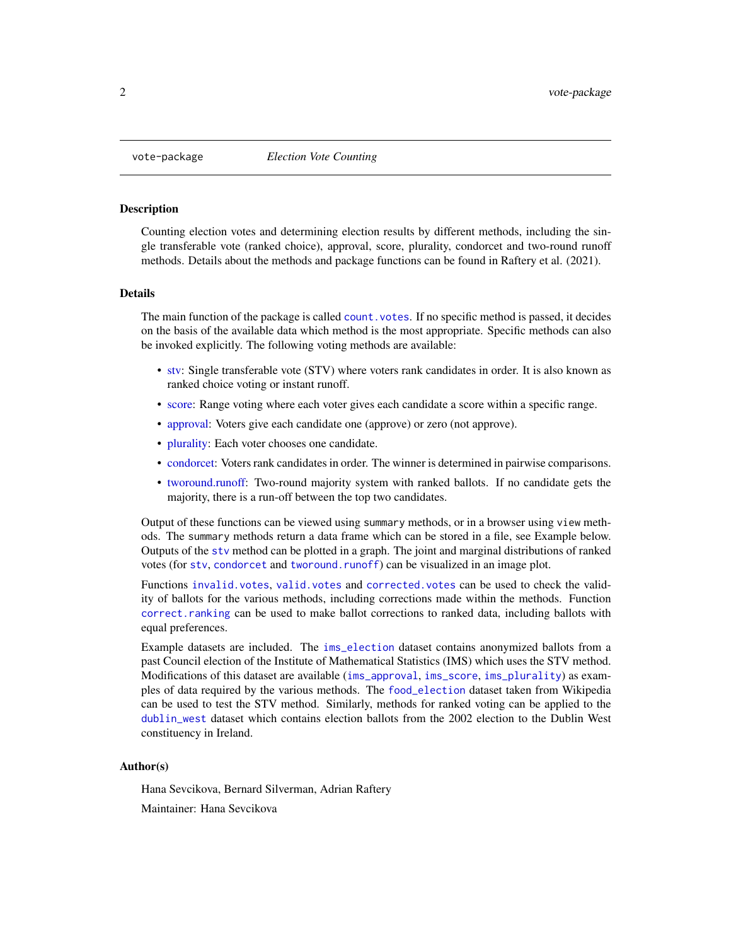<span id="page-1-0"></span>

# Description

Counting election votes and determining election results by different methods, including the single transferable vote (ranked choice), approval, score, plurality, condorcet and two-round runoff methods. Details about the methods and package functions can be found in Raftery et al. (2021).

#### Details

The main function of the package is called [count.votes](#page-6-1). If no specific method is passed, it decides on the basis of the available data which method is the most appropriate. Specific methods can also be invoked explicitly. The following voting methods are available:

- [stv:](#page-11-1) Single transferable vote (STV) where voters rank candidates in order. It is also known as ranked choice voting or instant runoff.
- [score:](#page-10-1) Range voting where each voter gives each candidate a score within a specific range.
- [approval:](#page-2-1) Voters give each candidate one (approve) or zero (not approve).
- [plurality:](#page-2-2) Each voter chooses one candidate.
- [condorcet:](#page-4-1) Voters rank candidates in order. The winner is determined in pairwise comparisons.
- [tworound.runoff:](#page-16-1) Two-round majority system with ranked ballots. If no candidate gets the majority, there is a run-off between the top two candidates.

Output of these functions can be viewed using summary methods, or in a browser using view methods. The summary methods return a data frame which can be stored in a file, see Example below. Outputs of the [stv](#page-11-1) method can be plotted in a graph. The joint and marginal distributions of ranked votes (for [stv](#page-11-1), [condorcet](#page-4-1) and [tworound.runoff](#page-16-1)) can be visualized in an image plot.

Functions [invalid.votes](#page-6-2), [valid.votes](#page-6-2) and [corrected.votes](#page-6-2) can be used to check the validity of ballots for the various methods, including corrections made within the methods. Function [correct.ranking](#page-11-2) can be used to make ballot corrections to ranked data, including ballots with equal preferences.

Example datasets are included. The [ims\\_election](#page-9-1) dataset contains anonymized ballots from a past Council election of the Institute of Mathematical Statistics (IMS) which uses the STV method. Modifications of this dataset are available ([ims\\_approval](#page-9-2), [ims\\_score](#page-9-2), [ims\\_plurality](#page-9-2)) as examples of data required by the various methods. The [food\\_election](#page-8-1) dataset taken from Wikipedia can be used to test the STV method. Similarly, methods for ranked voting can be applied to the [dublin\\_west](#page-7-1) dataset which contains election ballots from the 2002 election to the Dublin West constituency in Ireland.

#### Author(s)

Hana Sevcikova, Bernard Silverman, Adrian Raftery Maintainer: Hana Sevcikova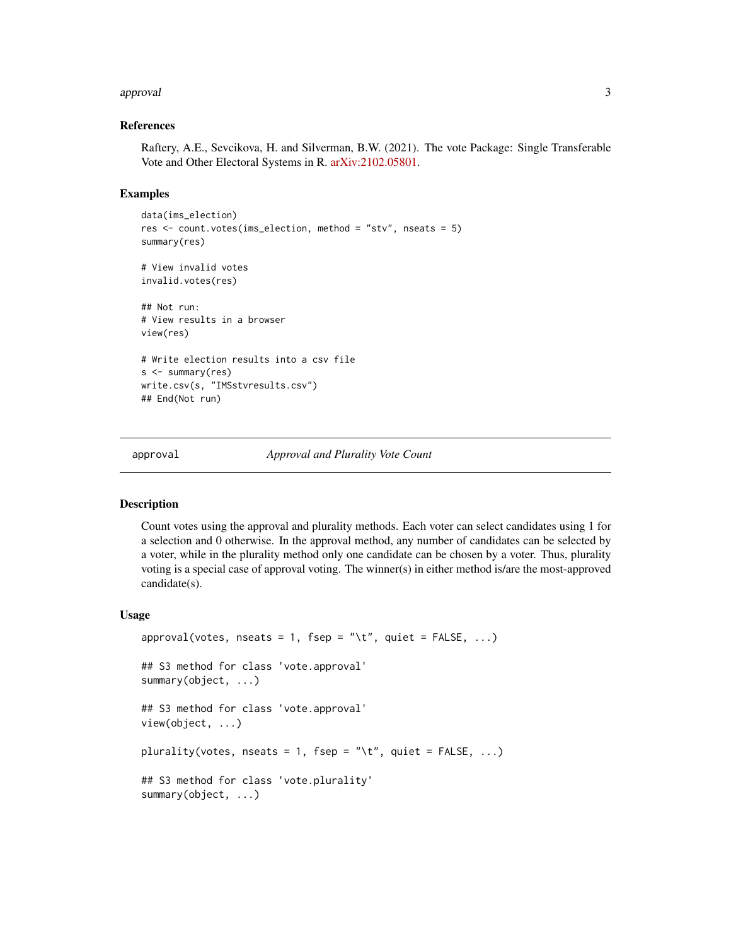#### <span id="page-2-0"></span>approval 3

#### References

Raftery, A.E., Sevcikova, H. and Silverman, B.W. (2021). The vote Package: Single Transferable Vote and Other Electoral Systems in R. [arXiv:2102.05801.](https://arxiv.org/abs/2102.05801)

#### Examples

```
data(ims_election)
res <- count.votes(ims_election, method = "stv", nseats = 5)
summary(res)
# View invalid votes
invalid.votes(res)
## Not run:
# View results in a browser
view(res)
# Write election results into a csv file
s <- summary(res)
write.csv(s, "IMSstvresults.csv")
## End(Not run)
```
<span id="page-2-1"></span>

approval *Approval and Plurality Vote Count*

#### <span id="page-2-2"></span>Description

Count votes using the approval and plurality methods. Each voter can select candidates using 1 for a selection and 0 otherwise. In the approval method, any number of candidates can be selected by a voter, while in the plurality method only one candidate can be chosen by a voter. Thus, plurality voting is a special case of approval voting. The winner(s) in either method is/are the most-approved candidate(s).

#### Usage

```
approval(votes, nseats = 1, fsep = "\t", quiet = FALSE, ...)
## S3 method for class 'vote.approval'
summary(object, ...)
## S3 method for class 'vote.approval'
view(object, ...)
plurality(votes, nseats = 1, fsep = "\t", quiet = FALSE, ...)
## S3 method for class 'vote.plurality'
summary(object, ...)
```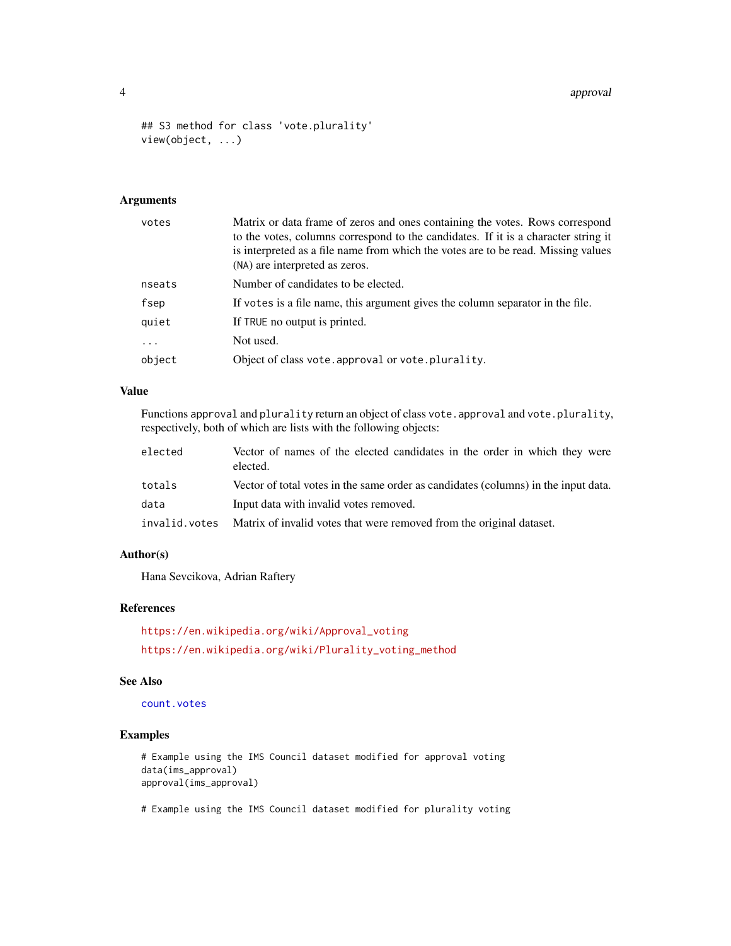#### 4 approval to the contract of the contract of the contract of the contract of the contract of the contract of the contract of the contract of the contract of the contract of the contract of the contract of the contract of

```
## S3 method for class 'vote.plurality'
view(object, ...)
```
# Arguments

| votes    | Matrix or data frame of zeros and ones containing the votes. Rows correspond<br>to the votes, columns correspond to the candidates. If it is a character string it<br>is interpreted as a file name from which the votes are to be read. Missing values<br>(NA) are interpreted as zeros. |
|----------|-------------------------------------------------------------------------------------------------------------------------------------------------------------------------------------------------------------------------------------------------------------------------------------------|
| nseats   | Number of candidates to be elected.                                                                                                                                                                                                                                                       |
| fsep     | If votes is a file name, this argument gives the column separator in the file.                                                                                                                                                                                                            |
| quiet    | If TRUE no output is printed.                                                                                                                                                                                                                                                             |
| $\ddots$ | Not used.                                                                                                                                                                                                                                                                                 |
| object   | Object of class vote. approval or vote. plurality.                                                                                                                                                                                                                                        |

#### Value

Functions approval and plurality return an object of class vote.approval and vote.plurality, respectively, both of which are lists with the following objects:

| elected       | Vector of names of the elected candidates in the order in which they were<br>elected. |
|---------------|---------------------------------------------------------------------------------------|
| totals        | Vector of total votes in the same order as candidates (columns) in the input data.    |
| data          | Input data with invalid votes removed.                                                |
| invalid.votes | Matrix of invalid votes that were removed from the original dataset.                  |

#### Author(s)

Hana Sevcikova, Adrian Raftery

#### References

[https://en.wikipedia.org/wiki/Approval\\_voting](https://en.wikipedia.org/wiki/Approval_voting) [https://en.wikipedia.org/wiki/Plurality\\_voting\\_method](https://en.wikipedia.org/wiki/Plurality_voting_method)

#### See Also

[count.votes](#page-6-1)

# Examples

# Example using the IMS Council dataset modified for approval voting data(ims\_approval) approval(ims\_approval)

# Example using the IMS Council dataset modified for plurality voting

<span id="page-3-0"></span>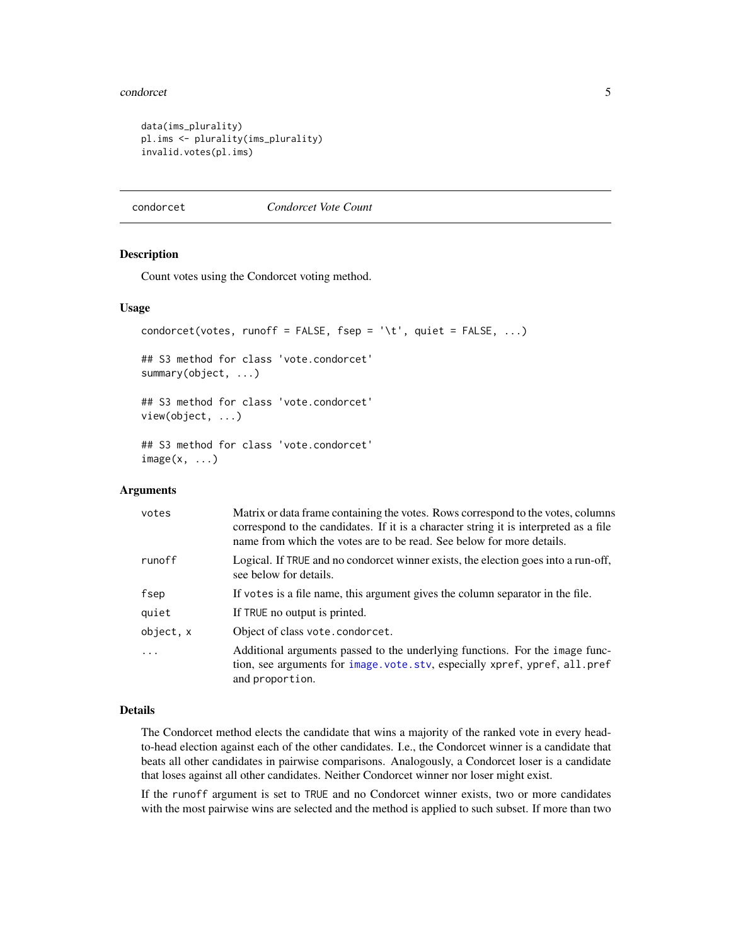#### <span id="page-4-0"></span>condorcet 5

```
data(ims_plurality)
pl.ims <- plurality(ims_plurality)
invalid.votes(pl.ims)
```
#### <span id="page-4-1"></span>condorcet *Condorcet Vote Count*

#### <span id="page-4-2"></span>Description

Count votes using the Condorcet voting method.

#### Usage

```
condorcet(votes, runoff = FALSE, fsep = '\t', quiet = FALSE, ...)
## S3 method for class 'vote.condorcet'
summary(object, ...)
## S3 method for class 'vote.condorcet'
view(object, ...)
## S3 method for class 'vote.condorcet'
image(x, \ldots)
```
#### Arguments

| votes     | Matrix or data frame containing the votes. Rows correspond to the votes, columns<br>correspond to the candidates. If it is a character string it is interpreted as a file<br>name from which the votes are to be read. See below for more details. |
|-----------|----------------------------------------------------------------------------------------------------------------------------------------------------------------------------------------------------------------------------------------------------|
| runoff    | Logical. If TRUE and no condorcet winner exists, the election goes into a run-off,<br>see below for details.                                                                                                                                       |
| fsep      | If votes is a file name, this argument gives the column separator in the file.                                                                                                                                                                     |
| quiet     | If TRUE no output is printed.                                                                                                                                                                                                                      |
| object, x | Object of class vote.condorcet.                                                                                                                                                                                                                    |
| $\ddots$  | Additional arguments passed to the underlying functions. For the image func-<br>tion, see arguments for image.vote.stv, especially xpref, ypref, all.pref<br>and proportion.                                                                       |

# Details

The Condorcet method elects the candidate that wins a majority of the ranked vote in every headto-head election against each of the other candidates. I.e., the Condorcet winner is a candidate that beats all other candidates in pairwise comparisons. Analogously, a Condorcet loser is a candidate that loses against all other candidates. Neither Condorcet winner nor loser might exist.

If the runoff argument is set to TRUE and no Condorcet winner exists, two or more candidates with the most pairwise wins are selected and the method is applied to such subset. If more than two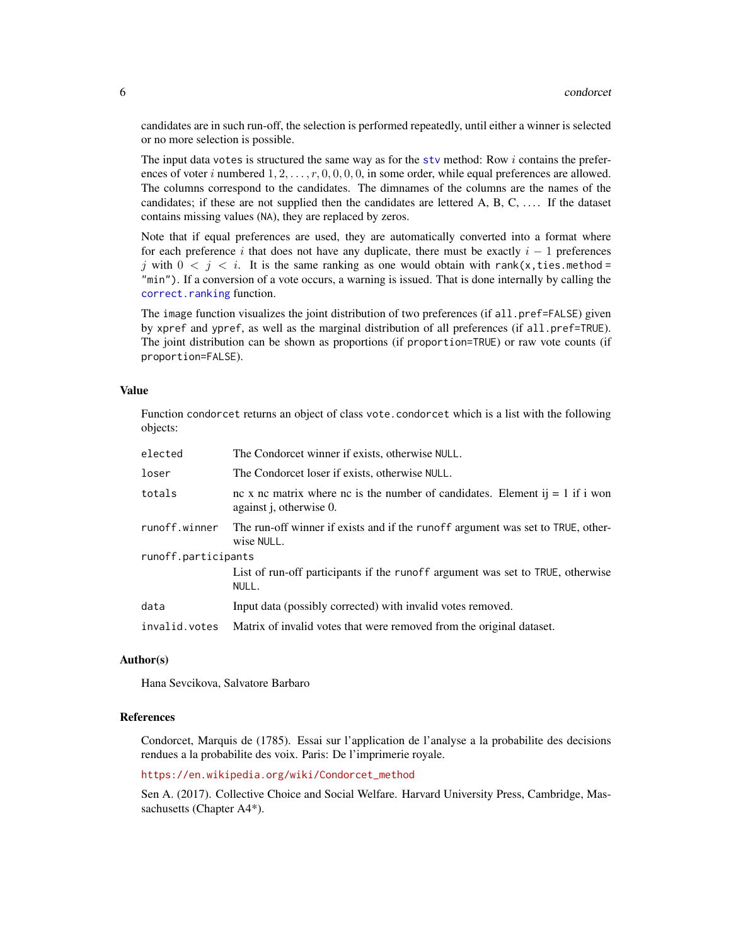<span id="page-5-0"></span>candidates are in such run-off, the selection is performed repeatedly, until either a winner is selected or no more selection is possible.

The input data votes is structured the same way as for the sty method: Row  $i$  contains the preferences of voter i numbered  $1, 2, \ldots, r, 0, 0, 0, 0, 0$ , in some order, while equal preferences are allowed. The columns correspond to the candidates. The dimnames of the columns are the names of the candidates; if these are not supplied then the candidates are lettered  $A, B, C, \ldots$ . If the dataset contains missing values (NA), they are replaced by zeros.

Note that if equal preferences are used, they are automatically converted into a format where for each preference i that does not have any duplicate, there must be exactly  $i - 1$  preferences j with  $0 < j < i$ . It is the same ranking as one would obtain with rank(x, ties. method = "min"). If a conversion of a vote occurs, a warning is issued. That is done internally by calling the [correct.ranking](#page-11-2) function.

The image function visualizes the joint distribution of two preferences (if all.pref=FALSE) given by xpref and ypref, as well as the marginal distribution of all preferences (if all.pref=TRUE). The joint distribution can be shown as proportions (if proportion=TRUE) or raw vote counts (if proportion=FALSE).

#### Value

Function condorcet returns an object of class vote.condorcet which is a list with the following objects:

| elected             | The Condorcet winner if exists, otherwise NULL.                                                                 |
|---------------------|-----------------------------------------------------------------------------------------------------------------|
| loser               | The Condorcet loser if exists, otherwise NULL.                                                                  |
| totals              | nc x nc matrix where nc is the number of candidates. Element ij = 1 if i won<br>against <i>j</i> , otherwise 0. |
| runoff.winner       | The run-off winner if exists and if the runoff argument was set to TRUE, other-<br>wise NULL.                   |
| runoff.participants |                                                                                                                 |
|                     | List of run-off participants if the runoff argument was set to TRUE, otherwise<br>NULL.                         |
| data                | Input data (possibly corrected) with invalid votes removed.                                                     |
| invalid.votes       | Matrix of invalid votes that were removed from the original dataset.                                            |

#### Author(s)

Hana Sevcikova, Salvatore Barbaro

# References

Condorcet, Marquis de (1785). Essai sur l'application de l'analyse a la probabilite des decisions rendues a la probabilite des voix. Paris: De l'imprimerie royale.

[https://en.wikipedia.org/wiki/Condorcet\\_method](https://en.wikipedia.org/wiki/Condorcet_method)

Sen A. (2017). Collective Choice and Social Welfare. Harvard University Press, Cambridge, Massachusetts (Chapter A4\*).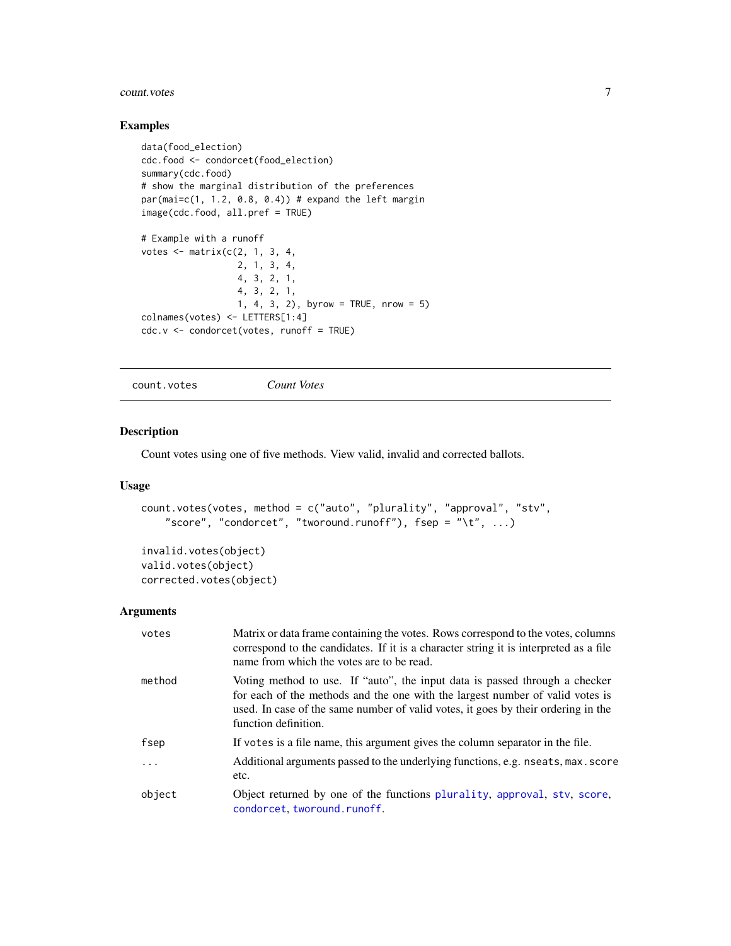#### <span id="page-6-0"></span>count.votes 7

#### Examples

```
data(food_election)
cdc.food <- condorcet(food_election)
summary(cdc.food)
# show the marginal distribution of the preferences
par(mai=c(1, 1.2, 0.8, 0.4)) # expand the left margin
image(cdc.food, all.pref = TRUE)
# Example with a runoff
votes \leq matrix(c(2, 1, 3, 4, )2, 1, 3, 4,
                  4, 3, 2, 1,
                  4, 3, 2, 1,
                  1, 4, 3, 2), byrow = TRUE, nrow = 5)
colnames(votes) <- LETTERS[1:4]
cdc.v <- condorcet(votes, runoff = TRUE)
```
<span id="page-6-1"></span>count.votes *Count Votes*

#### <span id="page-6-2"></span>Description

Count votes using one of five methods. View valid, invalid and corrected ballots.

# Usage

```
count.votes(votes, method = c("auto", "plurality", "approval", "stv",
    "score", "condorcet", "tworound.runoff"), fsep = "\t", ...)
```

```
invalid.votes(object)
valid.votes(object)
corrected.votes(object)
```
#### **Arguments**

| votes   | Matrix or data frame containing the votes. Rows correspond to the votes, columns<br>correspond to the candidates. If it is a character string it is interpreted as a file<br>name from which the votes are to be read.                                                    |
|---------|---------------------------------------------------------------------------------------------------------------------------------------------------------------------------------------------------------------------------------------------------------------------------|
| method  | Voting method to use. If "auto", the input data is passed through a checker<br>for each of the methods and the one with the largest number of valid votes is<br>used. In case of the same number of valid votes, it goes by their ordering in the<br>function definition. |
| fsep    | If votes is a file name, this argument gives the column separator in the file.                                                                                                                                                                                            |
| $\cdot$ | Additional arguments passed to the underlying functions, e.g. nseats, max. score<br>etc.                                                                                                                                                                                  |
| object  | Object returned by one of the functions plurality, approval, stv, score,<br>condorcet, tworound.runoff.                                                                                                                                                                   |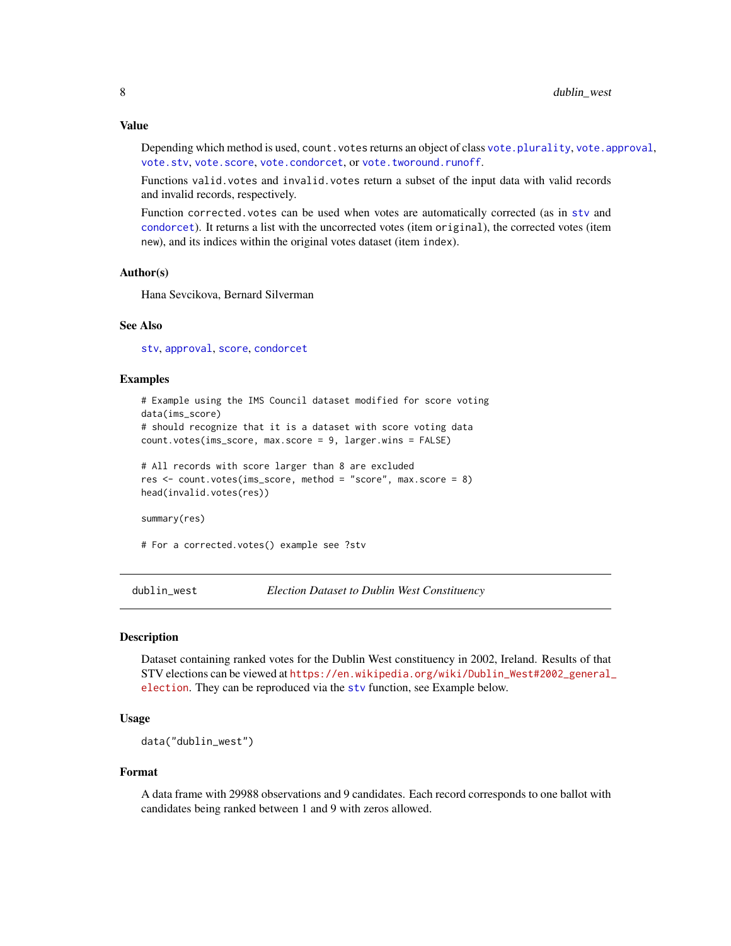#### <span id="page-7-0"></span>Value

Depending which method is used, count. votes returns an object of class vote. plurality, vote. approval, [vote.stv](#page-11-2), [vote.score](#page-10-2), [vote.condorcet](#page-4-2), or [vote.tworound.runoff](#page-16-2).

Functions valid.votes and invalid.votes return a subset of the input data with valid records and invalid records, respectively.

Function corrected.votes can be used when votes are automatically corrected (as in [stv](#page-11-1) and [condorcet](#page-4-1)). It returns a list with the uncorrected votes (item original), the corrected votes (item new), and its indices within the original votes dataset (item index).

#### Author(s)

Hana Sevcikova, Bernard Silverman

#### See Also

[stv](#page-11-1), [approval](#page-2-1), [score](#page-10-1), [condorcet](#page-4-1)

#### Examples

```
# Example using the IMS Council dataset modified for score voting
data(ims_score)
# should recognize that it is a dataset with score voting data
count.votes(ims_score, max.score = 9, larger.wins = FALSE)
# All records with score larger than 8 are excluded
res <- count.votes(ims_score, method = "score", max.score = 8)
head(invalid.votes(res))
summary(res)
```
# For a corrected.votes() example see ?stv

<span id="page-7-1"></span>dublin\_west *Election Dataset to Dublin West Constituency*

#### Description

Dataset containing ranked votes for the Dublin West constituency in 2002, Ireland. Results of that STV elections can be viewed at [https://en.wikipedia.org/wiki/Dublin\\_West#2002\\_general\\_](https://en.wikipedia.org/wiki/Dublin_West#2002_general_election) [election](https://en.wikipedia.org/wiki/Dublin_West#2002_general_election). They can be reproduced via the [stv](#page-11-1) function, see Example below.

#### Usage

data("dublin\_west")

#### Format

A data frame with 29988 observations and 9 candidates. Each record corresponds to one ballot with candidates being ranked between 1 and 9 with zeros allowed.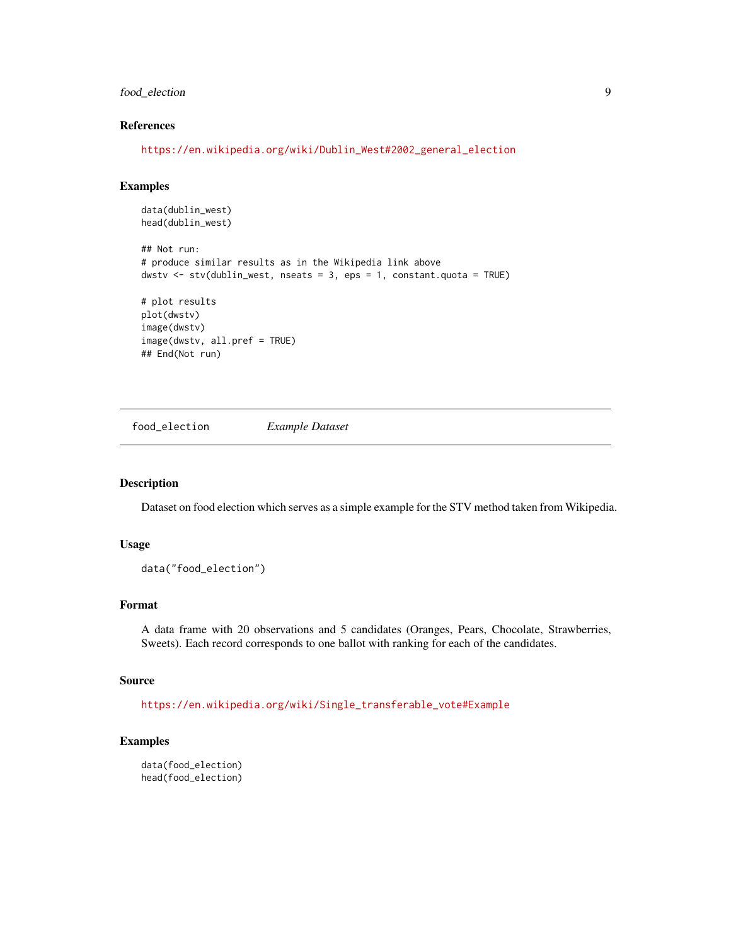# <span id="page-8-0"></span>food\_election 9

# References

[https://en.wikipedia.org/wiki/Dublin\\_West#2002\\_general\\_election](https://en.wikipedia.org/wiki/Dublin_West#2002_general_election)

#### Examples

```
data(dublin_west)
head(dublin_west)
```

```
## Not run:
# produce similar results as in the Wikipedia link above
dwstv <- stv(dublin_west, nseats = 3, eps = 1, constant.quota = TRUE)
# plot results
```

```
plot(dwstv)
image(dwstv)
image(dwstv, all.pref = TRUE)
## End(Not run)
```
<span id="page-8-1"></span>food\_election *Example Dataset*

# Description

Dataset on food election which serves as a simple example for the STV method taken from Wikipedia.

#### Usage

```
data("food_election")
```
#### Format

A data frame with 20 observations and 5 candidates (Oranges, Pears, Chocolate, Strawberries, Sweets). Each record corresponds to one ballot with ranking for each of the candidates.

#### Source

[https://en.wikipedia.org/wiki/Single\\_transferable\\_vote#Example](https://en.wikipedia.org/wiki/Single_transferable_vote#Example)

# Examples

```
data(food_election)
head(food_election)
```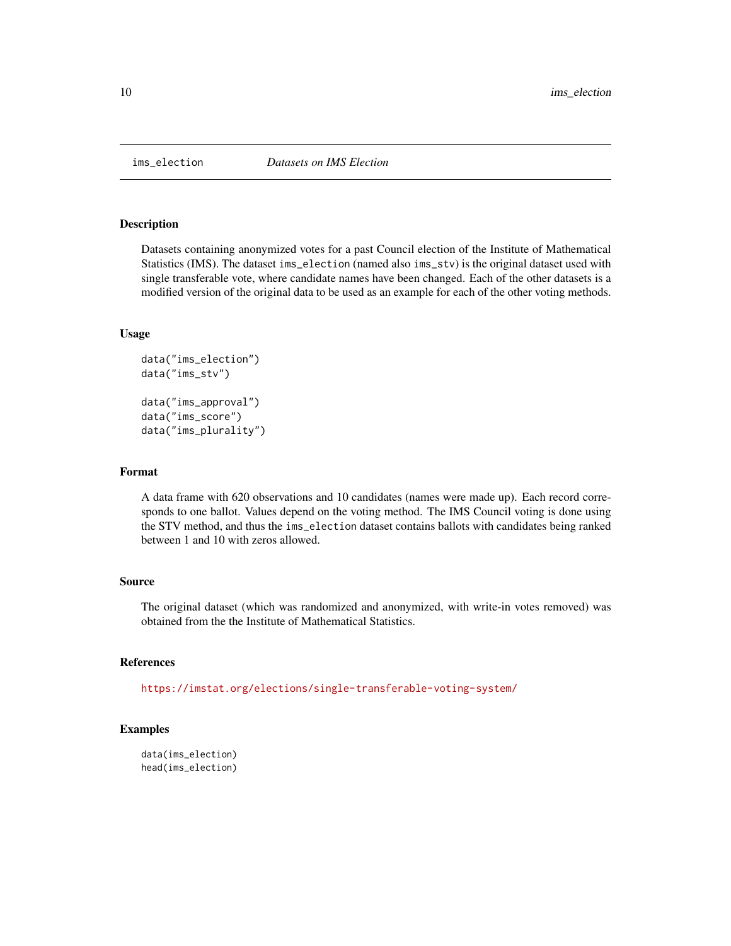<span id="page-9-1"></span><span id="page-9-0"></span>

#### <span id="page-9-2"></span>Description

Datasets containing anonymized votes for a past Council election of the Institute of Mathematical Statistics (IMS). The dataset ims\_election (named also ims\_stv) is the original dataset used with single transferable vote, where candidate names have been changed. Each of the other datasets is a modified version of the original data to be used as an example for each of the other voting methods.

#### Usage

```
data("ims_election")
data("ims_stv")
data("ims_approval")
data("ims_score")
data("ims_plurality")
```
#### Format

A data frame with 620 observations and 10 candidates (names were made up). Each record corresponds to one ballot. Values depend on the voting method. The IMS Council voting is done using the STV method, and thus the ims\_election dataset contains ballots with candidates being ranked between 1 and 10 with zeros allowed.

#### Source

The original dataset (which was randomized and anonymized, with write-in votes removed) was obtained from the the Institute of Mathematical Statistics.

# References

<https://imstat.org/elections/single-transferable-voting-system/>

# Examples

```
data(ims_election)
head(ims_election)
```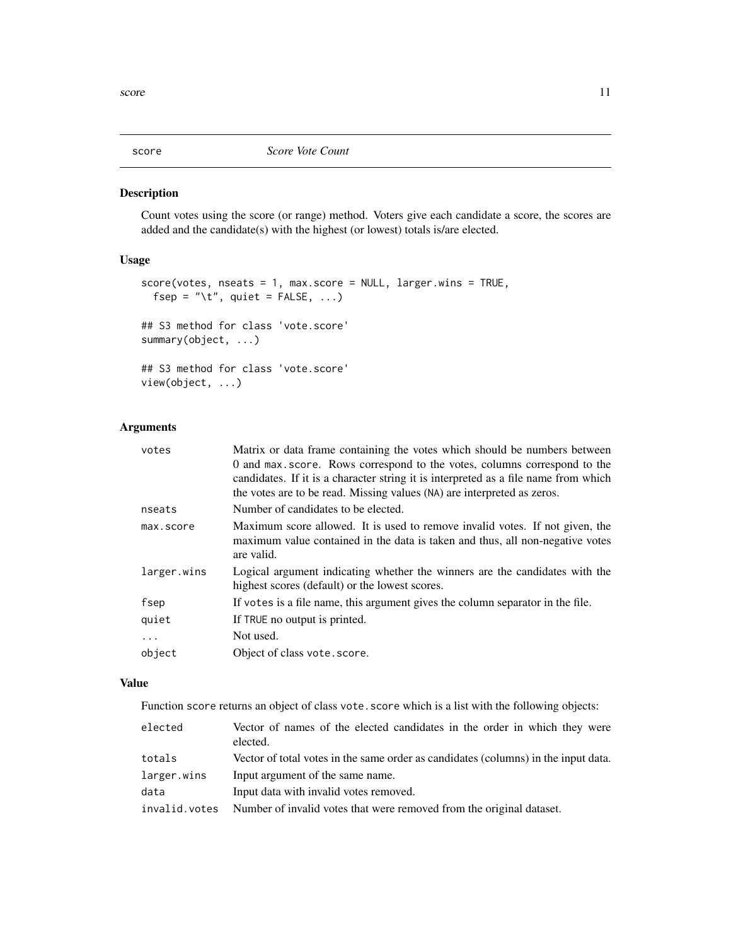<span id="page-10-1"></span><span id="page-10-0"></span>

#### <span id="page-10-2"></span>Description

Count votes using the score (or range) method. Voters give each candidate a score, the scores are added and the candidate(s) with the highest (or lowest) totals is/are elected.

# Usage

```
score(votes, nseats = 1, max.score = NULL, larger.wins = TRUE,
 fsep = "\t", quiet = FALSE, ...)
## S3 method for class 'vote.score'
summary(object, ...)
## S3 method for class 'vote.score'
view(object, ...)
```
# Arguments

| votes       | Matrix or data frame containing the votes which should be numbers between                                                                                                   |
|-------------|-----------------------------------------------------------------------------------------------------------------------------------------------------------------------------|
|             | 0 and max.score. Rows correspond to the votes, columns correspond to the                                                                                                    |
|             | candidates. If it is a character string it is interpreted as a file name from which                                                                                         |
|             | the votes are to be read. Missing values (NA) are interpreted as zeros.                                                                                                     |
| nseats      | Number of candidates to be elected.                                                                                                                                         |
| max.score   | Maximum score allowed. It is used to remove invalid votes. If not given, the<br>maximum value contained in the data is taken and thus, all non-negative votes<br>are valid. |
| larger.wins | Logical argument indicating whether the winners are the candidates with the<br>highest scores (default) or the lowest scores.                                               |
| fsep        | If votes is a file name, this argument gives the column separator in the file.                                                                                              |
| quiet       | If TRUE no output is printed.                                                                                                                                               |
| $\cdots$    | Not used.                                                                                                                                                                   |
| object      | Object of class vote.score.                                                                                                                                                 |
|             |                                                                                                                                                                             |

# Value

Function score returns an object of class vote. score which is a list with the following objects:

| elected       | Vector of names of the elected candidates in the order in which they were<br>elected. |
|---------------|---------------------------------------------------------------------------------------|
| totals        | Vector of total votes in the same order as candidates (columns) in the input data.    |
| larger.wins   | Input argument of the same name.                                                      |
| data          | Input data with invalid votes removed.                                                |
| invalid.votes | Number of invalid votes that were removed from the original dataset.                  |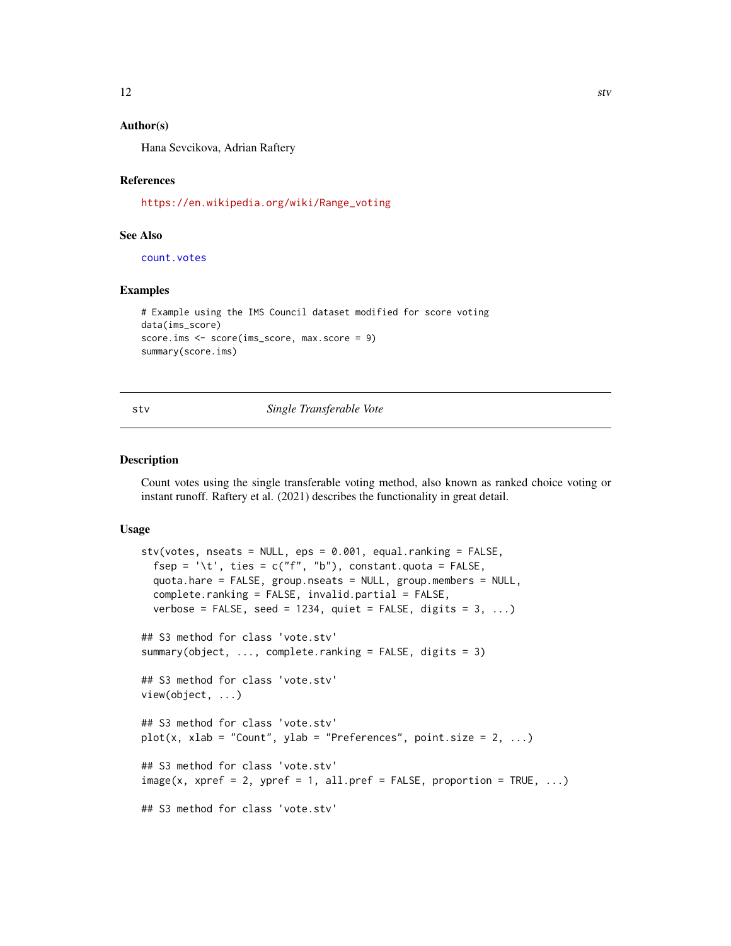# <span id="page-11-0"></span>Author(s)

Hana Sevcikova, Adrian Raftery

#### References

[https://en.wikipedia.org/wiki/Range\\_voting](https://en.wikipedia.org/wiki/Range_voting)

# See Also

[count.votes](#page-6-1)

#### Examples

```
# Example using the IMS Council dataset modified for score voting
data(ims_score)
score.ims <- score(ims_score, max.score = 9)
summary(score.ims)
```
<span id="page-11-1"></span>

stv *Single Transferable Vote*

#### <span id="page-11-2"></span>**Description**

Count votes using the single transferable voting method, also known as ranked choice voting or instant runoff. Raftery et al. (2021) describes the functionality in great detail.

#### Usage

```
stv(votes, nseats = NULL, eps = 0.001, equal.ranking = FALSE,
 fsep = '\t t', ties = c("f", "b"), constant.quota = FALSE,
  quota.hare = FALSE, group.nseats = NULL, group.members = NULL,
 complete.ranking = FALSE, invalid.partial = FALSE,
 verbose = FALSE, seed = 1234, quiet = FALSE, digits = 3, ...)
## S3 method for class 'vote.stv'
summary(object, ..., complete.ranking = FALSE, digits = 3)
## S3 method for class 'vote.stv'
view(object, ...)
## S3 method for class 'vote.stv'
plot(x, xlab = "Count", ylab = "Preferences", point.size = 2, ...)## S3 method for class 'vote.stv'
image(x, xpref = 2, ypref = 1, all,pref = FALSE, proportion = TRUE, ...)## S3 method for class 'vote.stv'
```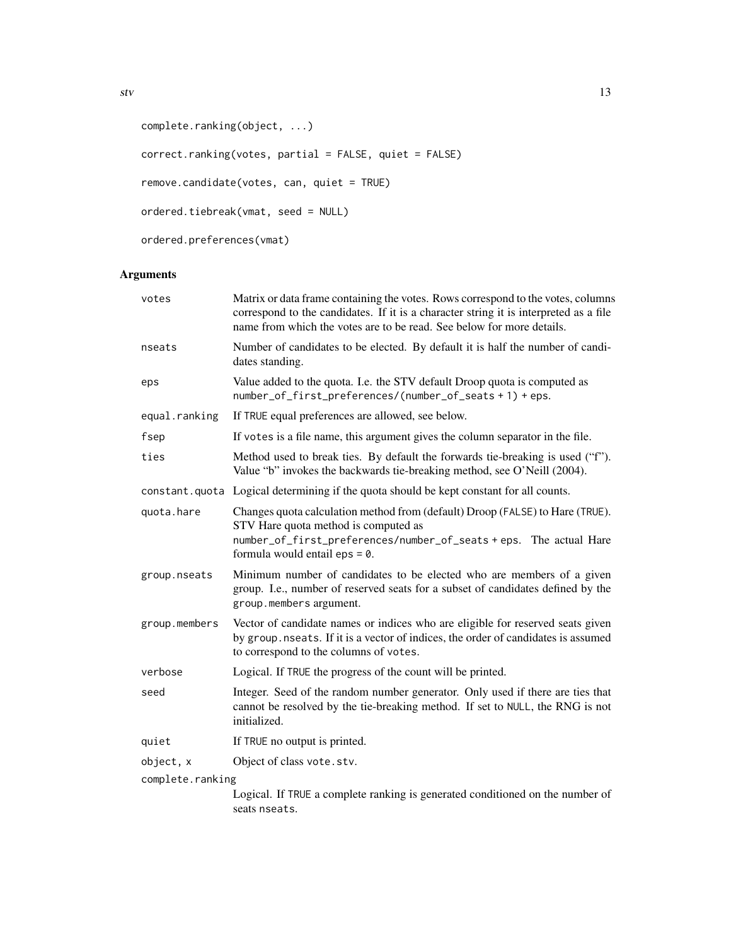```
complete.ranking(object, ...)
correct.ranking(votes, partial = FALSE, quiet = FALSE)
remove.candidate(votes, can, quiet = TRUE)
ordered.tiebreak(vmat, seed = NULL)
ordered.preferences(vmat)
```
# Arguments

| votes            | Matrix or data frame containing the votes. Rows correspond to the votes, columns<br>correspond to the candidates. If it is a character string it is interpreted as a file<br>name from which the votes are to be read. See below for more details. |
|------------------|----------------------------------------------------------------------------------------------------------------------------------------------------------------------------------------------------------------------------------------------------|
| nseats           | Number of candidates to be elected. By default it is half the number of candi-<br>dates standing.                                                                                                                                                  |
| eps              | Value added to the quota. I.e. the STV default Droop quota is computed as<br>number_of_first_preferences/(number_of_seats + 1) + eps.                                                                                                              |
| equal.ranking    | If TRUE equal preferences are allowed, see below.                                                                                                                                                                                                  |
| fsep             | If votes is a file name, this argument gives the column separator in the file.                                                                                                                                                                     |
| ties             | Method used to break ties. By default the forwards tie-breaking is used ("f").<br>Value "b" invokes the backwards tie-breaking method, see O'Neill (2004).                                                                                         |
|                  | constant quota Logical determining if the quota should be kept constant for all counts.                                                                                                                                                            |
| quota.hare       | Changes quota calculation method from (default) Droop (FALSE) to Hare (TRUE).<br>STV Hare quota method is computed as<br>number_of_first_preferences/number_of_seats + eps. The actual Hare<br>formula would entail $eps = 0$ .                    |
| group.nseats     | Minimum number of candidates to be elected who are members of a given<br>group. I.e., number of reserved seats for a subset of candidates defined by the<br>group.members argument.                                                                |
| group.members    | Vector of candidate names or indices who are eligible for reserved seats given<br>by group. nseats. If it is a vector of indices, the order of candidates is assumed<br>to correspond to the columns of votes.                                     |
| verbose          | Logical. If TRUE the progress of the count will be printed.                                                                                                                                                                                        |
| seed             | Integer. Seed of the random number generator. Only used if there are ties that<br>cannot be resolved by the tie-breaking method. If set to NULL, the RNG is not<br>initialized.                                                                    |
| quiet            | If TRUE no output is printed.                                                                                                                                                                                                                      |
| object, x        | Object of class vote.stv.                                                                                                                                                                                                                          |
| complete.ranking |                                                                                                                                                                                                                                                    |
|                  | Logical. If TRUE a complete ranking is generated conditioned on the number of<br>seats nseats.                                                                                                                                                     |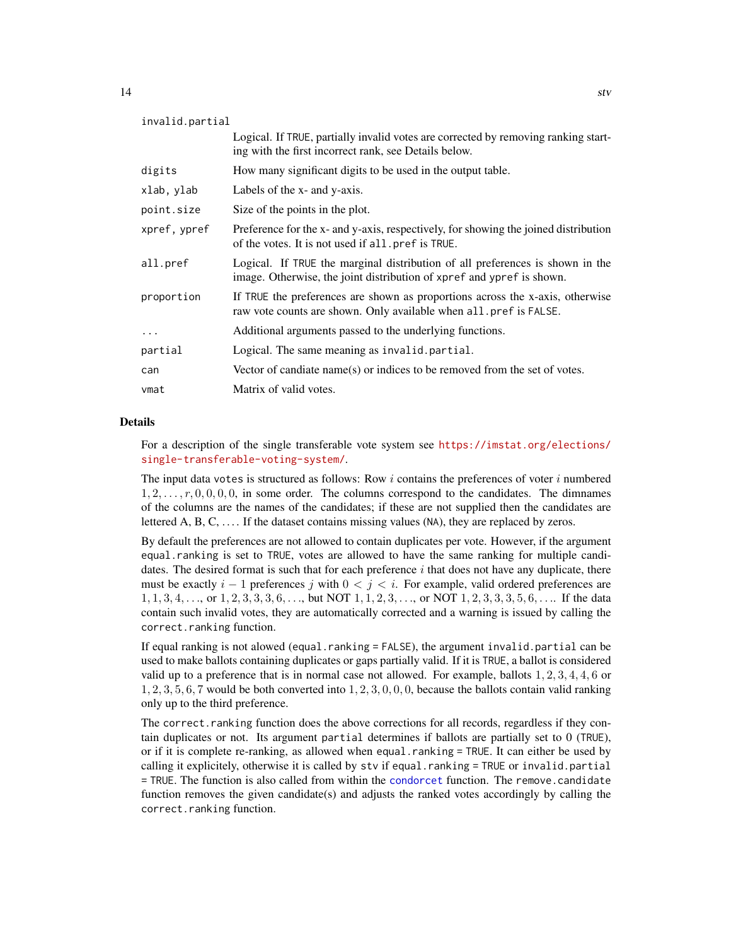<span id="page-13-0"></span>

| invalid.partial |                                                                                                                                                        |
|-----------------|--------------------------------------------------------------------------------------------------------------------------------------------------------|
|                 | Logical. If TRUE, partially invalid votes are corrected by removing ranking start-<br>ing with the first incorrect rank, see Details below.            |
| digits          | How many significant digits to be used in the output table.                                                                                            |
| xlab, ylab      | Labels of the x- and y-axis.                                                                                                                           |
| point.size      | Size of the points in the plot.                                                                                                                        |
| xpref, ypref    | Preference for the x- and y-axis, respectively, for showing the joined distribution<br>of the votes. It is not used if all, pref is TRUE.              |
| all.pref        | Logical. If TRUE the marginal distribution of all preferences is shown in the<br>image. Otherwise, the joint distribution of xpref and ypref is shown. |
| proportion      | If TRUE the preferences are shown as proportions across the x-axis, otherwise<br>raw vote counts are shown. Only available when all pref is FALSE.     |
| $\ddotsc$       | Additional arguments passed to the underlying functions.                                                                                               |
| partial         | Logical. The same meaning as invalid.partial.                                                                                                          |
| can             | Vector of candiate name(s) or indices to be removed from the set of votes.                                                                             |
| vmat            | Matrix of valid votes.                                                                                                                                 |

#### Details

For a description of the single transferable vote system see [https://imstat.org/elections/](https://imstat.org/elections/single-transferable-voting-system/) [single-transferable-voting-system/](https://imstat.org/elections/single-transferable-voting-system/).

The input data votes is structured as follows: Row  $i$  contains the preferences of voter  $i$  numbered  $1, 2, \ldots, r, 0, 0, 0, 0$ , in some order. The columns correspond to the candidates. The dimnames of the columns are the names of the candidates; if these are not supplied then the candidates are lettered  $A, B, C, \ldots$ . If the dataset contains missing values (NA), they are replaced by zeros.

By default the preferences are not allowed to contain duplicates per vote. However, if the argument equal.ranking is set to TRUE, votes are allowed to have the same ranking for multiple candidates. The desired format is such that for each preference  $i$  that does not have any duplicate, there must be exactly  $i - 1$  preferences j with  $0 \le j \le i$ . For example, valid ordered preferences are  $1, 1, 3, 4, \ldots$ , or  $1, 2, 3, 3, 3, 6, \ldots$ , but NOT  $1, 1, 2, 3, \ldots$ , or NOT  $1, 2, 3, 3, 3, 5, 6, \ldots$ . If the data contain such invalid votes, they are automatically corrected and a warning is issued by calling the correct.ranking function.

If equal ranking is not alowed (equal.ranking = FALSE), the argument invalid.partial can be used to make ballots containing duplicates or gaps partially valid. If it is TRUE, a ballot is considered valid up to a preference that is in normal case not allowed. For example, ballots  $1, 2, 3, 4, 4, 6$  or  $1, 2, 3, 5, 6, 7$  would be both converted into  $1, 2, 3, 0, 0, 0$ , because the ballots contain valid ranking only up to the third preference.

The correct.ranking function does the above corrections for all records, regardless if they contain duplicates or not. Its argument partial determines if ballots are partially set to 0 (TRUE), or if it is complete re-ranking, as allowed when equal.ranking = TRUE. It can either be used by calling it explicitely, otherwise it is called by stv if equal.ranking = TRUE or invalid.partial = TRUE. The function is also called from within the [condorcet](#page-4-1) function. The remove.candidate function removes the given candidate(s) and adjusts the ranked votes accordingly by calling the correct.ranking function.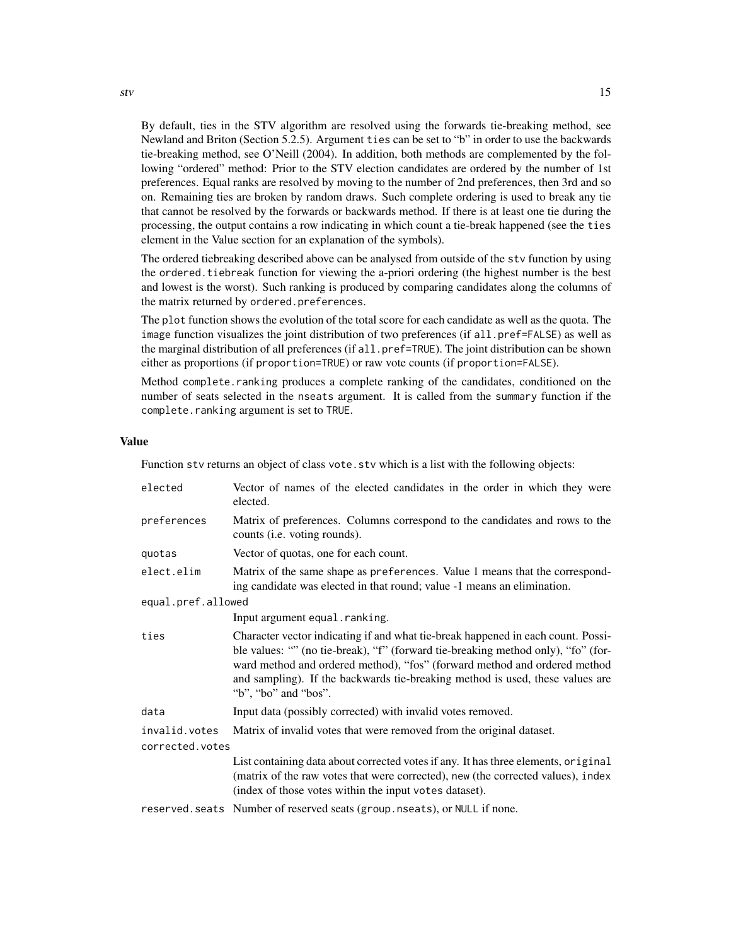By default, ties in the STV algorithm are resolved using the forwards tie-breaking method, see Newland and Briton (Section 5.2.5). Argument ties can be set to "b" in order to use the backwards tie-breaking method, see O'Neill (2004). In addition, both methods are complemented by the following "ordered" method: Prior to the STV election candidates are ordered by the number of 1st preferences. Equal ranks are resolved by moving to the number of 2nd preferences, then 3rd and so on. Remaining ties are broken by random draws. Such complete ordering is used to break any tie that cannot be resolved by the forwards or backwards method. If there is at least one tie during the processing, the output contains a row indicating in which count a tie-break happened (see the ties element in the Value section for an explanation of the symbols).

The ordered tiebreaking described above can be analysed from outside of the stv function by using the ordered.tiebreak function for viewing the a-priori ordering (the highest number is the best and lowest is the worst). Such ranking is produced by comparing candidates along the columns of the matrix returned by ordered.preferences.

The plot function shows the evolution of the total score for each candidate as well as the quota. The image function visualizes the joint distribution of two preferences (if all.pref=FALSE) as well as the marginal distribution of all preferences (if all.pref=TRUE). The joint distribution can be shown either as proportions (if proportion=TRUE) or raw vote counts (if proportion=FALSE).

Method complete.ranking produces a complete ranking of the candidates, conditioned on the number of seats selected in the nseats argument. It is called from the summary function if the complete.ranking argument is set to TRUE.

#### Value

Function stv returns an object of class vote.stv which is a list with the following objects:

| elected            | Vector of names of the elected candidates in the order in which they were<br>elected.                                                                                                                                                                                                                                                                       |
|--------------------|-------------------------------------------------------------------------------------------------------------------------------------------------------------------------------------------------------------------------------------------------------------------------------------------------------------------------------------------------------------|
| preferences        | Matrix of preferences. Columns correspond to the candidates and rows to the<br>counts ( <i>i.e.</i> voting rounds).                                                                                                                                                                                                                                         |
| quotas             | Vector of quotas, one for each count.                                                                                                                                                                                                                                                                                                                       |
| elect.elim         | Matrix of the same shape as preferences. Value 1 means that the correspond-<br>ing candidate was elected in that round; value -1 means an elimination.                                                                                                                                                                                                      |
| equal.pref.allowed |                                                                                                                                                                                                                                                                                                                                                             |
|                    | Input argument equal . ranking.                                                                                                                                                                                                                                                                                                                             |
| ties               | Character vector indicating if and what tie-break happened in each count. Possi-<br>ble values: "" (no tie-break), "f" (forward tie-breaking method only), "fo" (for-<br>ward method and ordered method), "fos" (forward method and ordered method<br>and sampling). If the backwards tie-breaking method is used, these values are<br>"b", "bo" and "bos". |
| data               | Input data (possibly corrected) with invalid votes removed.                                                                                                                                                                                                                                                                                                 |
| invalid.votes      | Matrix of invalid votes that were removed from the original dataset.                                                                                                                                                                                                                                                                                        |
| corrected.votes    |                                                                                                                                                                                                                                                                                                                                                             |
|                    | List containing data about corrected votes if any. It has three elements, original<br>(matrix of the raw votes that were corrected), new (the corrected values), index<br>(index of those votes within the input votes dataset).                                                                                                                            |
|                    | reserved. seats Number of reserved seats (group. nseats), or NULL if none.                                                                                                                                                                                                                                                                                  |

 $stv$  15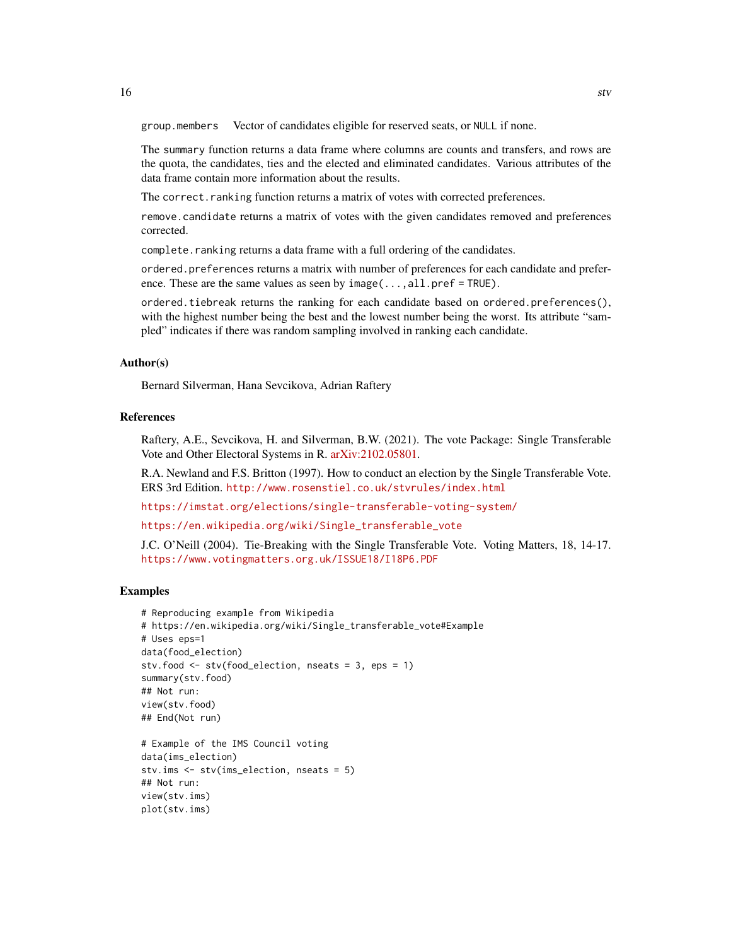group.members Vector of candidates eligible for reserved seats, or NULL if none.

The summary function returns a data frame where columns are counts and transfers, and rows are the quota, the candidates, ties and the elected and eliminated candidates. Various attributes of the data frame contain more information about the results.

The correct.ranking function returns a matrix of votes with corrected preferences.

remove.candidate returns a matrix of votes with the given candidates removed and preferences corrected.

complete.ranking returns a data frame with a full ordering of the candidates.

ordered.preferences returns a matrix with number of preferences for each candidate and preference. These are the same values as seen by  $image(\ldots,all,pref = TRUE)$ .

ordered.tiebreak returns the ranking for each candidate based on ordered.preferences(), with the highest number being the best and the lowest number being the worst. Its attribute "sampled" indicates if there was random sampling involved in ranking each candidate.

#### Author(s)

Bernard Silverman, Hana Sevcikova, Adrian Raftery

#### References

Raftery, A.E., Sevcikova, H. and Silverman, B.W. (2021). The vote Package: Single Transferable Vote and Other Electoral Systems in R. [arXiv:2102.05801.](https://arxiv.org/abs/2102.05801)

R.A. Newland and F.S. Britton (1997). How to conduct an election by the Single Transferable Vote. ERS 3rd Edition. <http://www.rosenstiel.co.uk/stvrules/index.html>

<https://imstat.org/elections/single-transferable-voting-system/>

[https://en.wikipedia.org/wiki/Single\\_transferable\\_vote](https://en.wikipedia.org/wiki/Single_transferable_vote)

J.C. O'Neill (2004). Tie-Breaking with the Single Transferable Vote. Voting Matters, 18, 14-17. <https://www.votingmatters.org.uk/ISSUE18/I18P6.PDF>

# Examples

```
# Reproducing example from Wikipedia
# https://en.wikipedia.org/wiki/Single_transferable_vote#Example
# Uses eps=1
data(food_election)
stv.food <- stv(food_election, nseats = 3, eps = 1)
summary(stv.food)
## Not run:
view(stv.food)
## End(Not run)
```

```
# Example of the IMS Council voting
data(ims_election)
stv.ims <- stv(ims_election, nseats = 5)
## Not run:
view(stv.ims)
plot(stv.ims)
```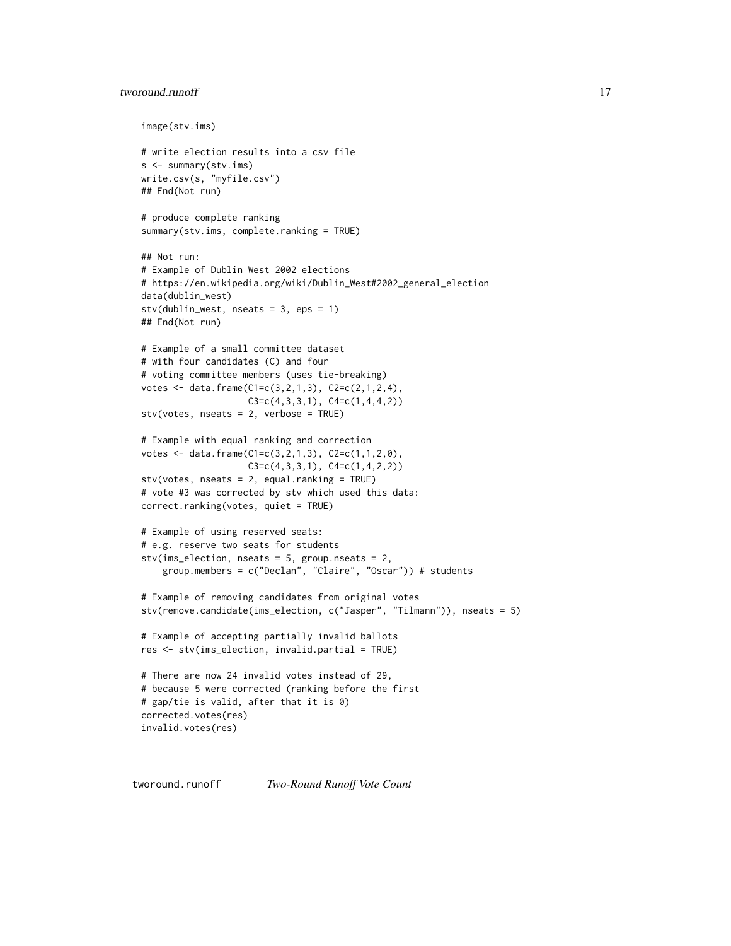# <span id="page-16-0"></span>tworound.runoff 17

```
image(stv.ims)
# write election results into a csv file
s <- summary(stv.ims)
write.csv(s, "myfile.csv")
## End(Not run)
# produce complete ranking
summary(stv.ims, complete.ranking = TRUE)
## Not run:
# Example of Dublin West 2002 elections
# https://en.wikipedia.org/wiki/Dublin_West#2002_general_election
data(dublin_west)
stv(dublin_west, nseats = 3, eps = 1)
## End(Not run)
# Example of a small committee dataset
# with four candidates (C) and four
# voting committee members (uses tie-breaking)
votes <- data.frame(C1=c(3,2,1,3), C2=c(2,1,2,4),
                    C3 = c(4,3,3,1), C4 = c(1,4,4,2))stv(votes, nseats = 2, verbose = TRUE)
# Example with equal ranking and correction
votes <- data.frame(C1=c(3,2,1,3), C2=c(1,1,2,0),
                   C3 = c(4,3,3,1), C4 = c(1,4,2,2))stv(votes, nseats = 2, equal.ranking = TRUE)
# vote #3 was corrected by stv which used this data:
correct.ranking(votes, quiet = TRUE)
# Example of using reserved seats:
# e.g. reserve two seats for students
stv(ims_election, nseats = 5, group.nseats = 2,group.members = c("Declan", "Claire", "Oscar")) # students
# Example of removing candidates from original votes
stv(remove.candidate(ims_election, c("Jasper", "Tilmann")), nseats = 5)
# Example of accepting partially invalid ballots
res <- stv(ims_election, invalid.partial = TRUE)
# There are now 24 invalid votes instead of 29,
# because 5 were corrected (ranking before the first
# gap/tie is valid, after that it is 0)
corrected.votes(res)
invalid.votes(res)
```
<span id="page-16-2"></span><span id="page-16-1"></span>tworound.runoff *Two-Round Runoff Vote Count*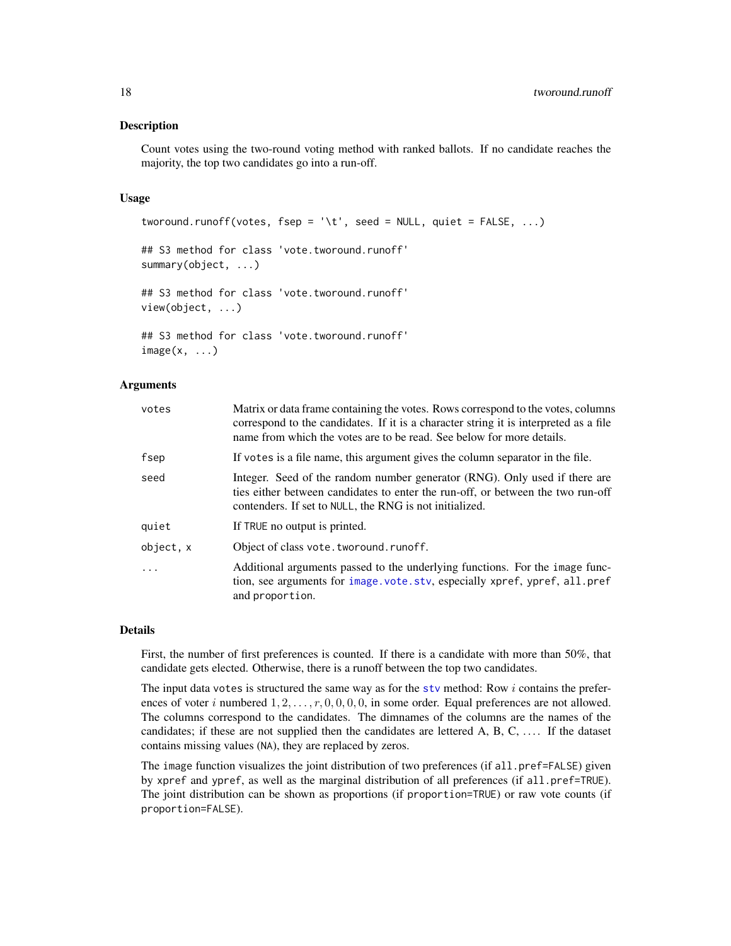#### <span id="page-17-0"></span>Description

Count votes using the two-round voting method with ranked ballots. If no candidate reaches the majority, the top two candidates go into a run-off.

#### Usage

```
tworound.runoff(votes, fsep = '\t', seed = NULL, quiet = FALSE, \ldots)
## S3 method for class 'vote.tworound.runoff'
summary(object, ...)
## S3 method for class 'vote.tworound.runoff'
view(object, ...)
## S3 method for class 'vote.tworound.runoff'
image(x, \ldots)
```
# Arguments

| votes    | Matrix or data frame containing the votes. Rows correspond to the votes, columns<br>correspond to the candidates. If it is a character string it is interpreted as a file<br>name from which the votes are to be read. See below for more details. |
|----------|----------------------------------------------------------------------------------------------------------------------------------------------------------------------------------------------------------------------------------------------------|
| fsep     | If votes is a file name, this argument gives the column separator in the file.                                                                                                                                                                     |
| seed     | Integer. Seed of the random number generator (RNG). Only used if there are<br>ties either between candidates to enter the run-off, or between the two run-off<br>contenders. If set to NULL, the RNG is not initialized.                           |
| quiet    | If TRUE no output is printed.                                                                                                                                                                                                                      |
| object.x | Object of class vote.tworound.runoff.                                                                                                                                                                                                              |
| .        | Additional arguments passed to the underlying functions. For the image func-<br>tion, see arguments for image vote sty, especially xpref, ypref, all.pref<br>and proportion.                                                                       |

#### Details

First, the number of first preferences is counted. If there is a candidate with more than 50%, that candidate gets elected. Otherwise, there is a runoff between the top two candidates.

The input data votes is structured the same way as for the [stv](#page-11-1) method: Row  $i$  contains the preferences of voter i numbered  $1, 2, \ldots, r, 0, 0, 0, 0$ , in some order. Equal preferences are not allowed. The columns correspond to the candidates. The dimnames of the columns are the names of the candidates; if these are not supplied then the candidates are lettered  $A, B, C, \ldots$ . If the dataset contains missing values (NA), they are replaced by zeros.

The image function visualizes the joint distribution of two preferences (if all.pref=FALSE) given by xpref and ypref, as well as the marginal distribution of all preferences (if all.pref=TRUE). The joint distribution can be shown as proportions (if proportion=TRUE) or raw vote counts (if proportion=FALSE).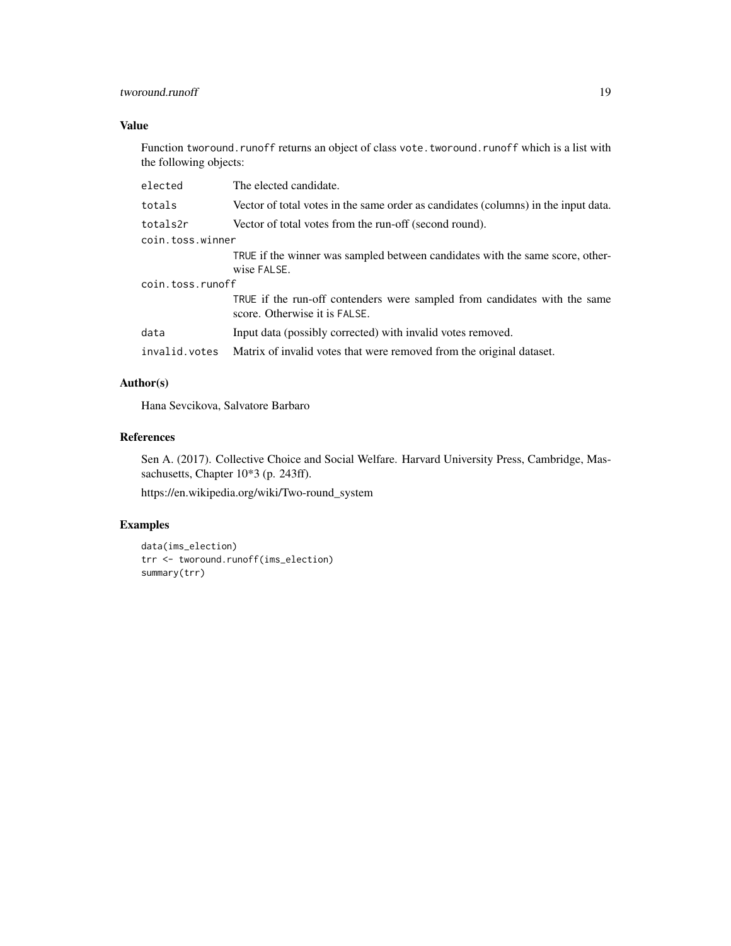# tworound.runoff 19

# Value

Function tworound.runoff returns an object of class vote.tworound.runoff which is a list with the following objects:

| elected          | The elected candidate.                                                                                     |
|------------------|------------------------------------------------------------------------------------------------------------|
| totals           | Vector of total votes in the same order as candidates (columns) in the input data.                         |
| totals2r         | Vector of total votes from the run-off (second round).                                                     |
| coin.toss.winner |                                                                                                            |
|                  | TRUE if the winner was sampled between candidates with the same score, other-<br>wise FALSE.               |
| coin.toss.runoff |                                                                                                            |
|                  | TRUE if the run-off contenders were sampled from candidates with the same<br>score. Otherwise it is FALSE. |
| data             | Input data (possibly corrected) with invalid votes removed.                                                |
| invalid.votes    | Matrix of invalid votes that were removed from the original dataset.                                       |

# Author(s)

Hana Sevcikova, Salvatore Barbaro

# References

Sen A. (2017). Collective Choice and Social Welfare. Harvard University Press, Cambridge, Massachusetts, Chapter 10\*3 (p. 243ff).

https://en.wikipedia.org/wiki/Two-round\_system

# Examples

```
data(ims_election)
trr <- tworound.runoff(ims_election)
summary(trr)
```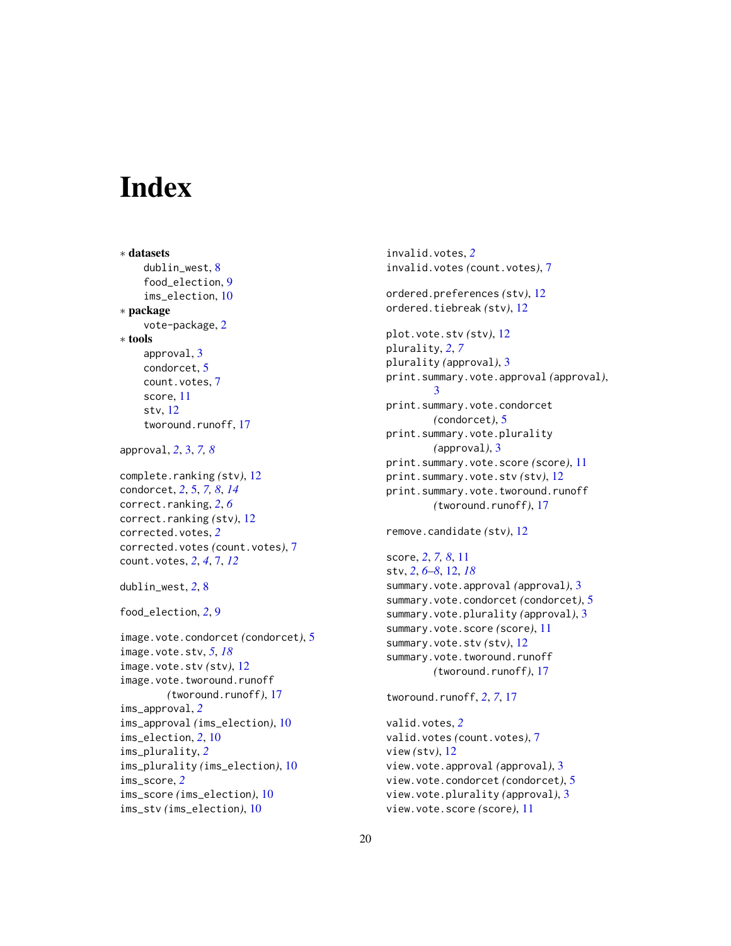# <span id="page-19-0"></span>**Index**

∗ datasets dublin\_west, [8](#page-7-0) food\_election, [9](#page-8-0) ims\_election, [10](#page-9-0) ∗ package vote-package, [2](#page-1-0) ∗ tools approval, [3](#page-2-0) condorcet, [5](#page-4-0) count.votes, [7](#page-6-0) score, [11](#page-10-0) stv, [12](#page-11-0) tworound.runoff, [17](#page-16-0) approval, *[2](#page-1-0)*, [3,](#page-2-0) *[7,](#page-6-0) [8](#page-7-0)* complete.ranking *(*stv*)*, [12](#page-11-0) condorcet, *[2](#page-1-0)*, [5,](#page-4-0) *[7,](#page-6-0) [8](#page-7-0)*, *[14](#page-13-0)* correct.ranking, *[2](#page-1-0)*, *[6](#page-5-0)* correct.ranking *(*stv*)*, [12](#page-11-0) corrected.votes, *[2](#page-1-0)* corrected.votes *(*count.votes*)*, [7](#page-6-0) count.votes, *[2](#page-1-0)*, *[4](#page-3-0)*, [7,](#page-6-0) *[12](#page-11-0)* dublin\_west, *[2](#page-1-0)*, [8](#page-7-0) food\_election, *[2](#page-1-0)*, [9](#page-8-0) image.vote.condorcet *(*condorcet*)*, [5](#page-4-0) image.vote.stv, *[5](#page-4-0)*, *[18](#page-17-0)* image.vote.stv *(*stv*)*, [12](#page-11-0) image.vote.tworound.runoff *(*tworound.runoff*)*, [17](#page-16-0) ims\_approval, *[2](#page-1-0)* ims\_approval *(*ims\_election*)*, [10](#page-9-0) ims\_election, *[2](#page-1-0)*, [10](#page-9-0) ims\_plurality, *[2](#page-1-0)* ims\_plurality *(*ims\_election*)*, [10](#page-9-0) ims\_score, *[2](#page-1-0)* ims\_score *(*ims\_election*)*, [10](#page-9-0) ims\_stv *(*ims\_election*)*, [10](#page-9-0)

invalid.votes, *[2](#page-1-0)* invalid.votes *(*count.votes*)*, [7](#page-6-0) ordered.preferences *(*stv*)*, [12](#page-11-0) ordered.tiebreak *(*stv*)*, [12](#page-11-0) plot.vote.stv *(*stv*)*, [12](#page-11-0) plurality, *[2](#page-1-0)*, *[7](#page-6-0)* plurality *(*approval*)*, [3](#page-2-0) print.summary.vote.approval *(*approval*)*, [3](#page-2-0) print.summary.vote.condorcet *(*condorcet*)*, [5](#page-4-0) print.summary.vote.plurality *(*approval*)*, [3](#page-2-0) print.summary.vote.score *(*score*)*, [11](#page-10-0) print.summary.vote.stv *(*stv*)*, [12](#page-11-0) print.summary.vote.tworound.runoff *(*tworound.runoff*)*, [17](#page-16-0) remove.candidate *(*stv*)*, [12](#page-11-0) score, *[2](#page-1-0)*, *[7,](#page-6-0) [8](#page-7-0)*, [11](#page-10-0) stv, *[2](#page-1-0)*, *[6–](#page-5-0)[8](#page-7-0)*, [12,](#page-11-0) *[18](#page-17-0)* summary.vote.approval *(*approval*)*, [3](#page-2-0) summary.vote.condorcet *(*condorcet*)*, [5](#page-4-0) summary.vote.plurality *(*approval*)*, [3](#page-2-0) summary.vote.score *(*score*)*, [11](#page-10-0) summary.vote.stv *(*stv*)*, [12](#page-11-0) summary.vote.tworound.runoff *(*tworound.runoff*)*, [17](#page-16-0) tworound.runoff, *[2](#page-1-0)*, *[7](#page-6-0)*, [17](#page-16-0) valid.votes, *[2](#page-1-0)*

valid.votes *(*count.votes*)*, [7](#page-6-0) view *(*stv*)*, [12](#page-11-0) view.vote.approval *(*approval*)*, [3](#page-2-0) view.vote.condorcet *(*condorcet*)*, [5](#page-4-0) view.vote.plurality *(*approval*)*, [3](#page-2-0) view.vote.score *(*score*)*, [11](#page-10-0)